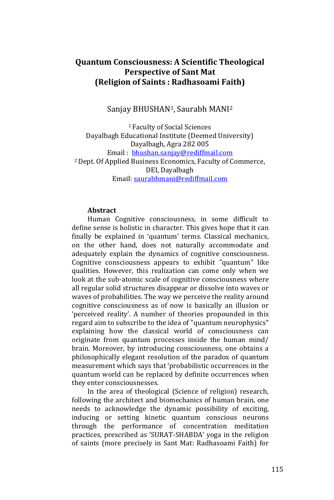## **Quantum Consciousness: A Scientific Theological Perspective of Sant Mat (Religion of Saints : Radhasoami Faith)**

#### Sanjay BHUSHAN1, Saurabh MANI<sup>2</sup>

<sup>1</sup>Faculty of Social Sciences Dayalbagh Educational Institute (Deemed University) Dayalbagh, Agra 282 005 Email : [bhushan.sanjay@rediffmail.com](mailto:bhushan.sanjay@rediffmail.com) <sup>2</sup>Dept. Of Applied Business Economics, Faculty of Commerce, DEI, Dayalbagh Email: [saurabhmani@rediffmail.com](mailto:saurabhmani@rediffmail.com)

#### **Abstract**

Human Cognitive consciousness, in some difficult to define sense is holistic in character. This gives hope that it can finally be explained in 'quantum' terms. Classical mechanics, on the other hand, does not naturally accommodate and adequately explain the dynamics of cognitive consciousness. Cognitive consciousness appears to exhibit "quantum" like qualities. However, this realization can come only when we look at the sub-atomic scale of cognitive consciousness where all regular solid structures disappear or dissolve into waves or waves of probabilities. The way we perceive the reality around cognitive consciousness as of now is basically an illusion or 'perceived reality'. A number of theories propounded in this regard aim to subscribe to the idea of "quantum neurophysics" explaining how the classical world of consciousness can originate from quantum processes inside the human mind/ brain. Moreover, by introducing consciousness, one obtains a philosophically elegant resolution of the paradox of quantum measurement which says that 'probabilistic occurrences in the quantum world can be replaced by definite occurrences when they enter consciousnesses.

In the area of theological (Science of religion) research, following the architect and biomechanics of human brain, one needs to acknowledge the dynamic possibility of exciting, inducing or setting kinetic quantum conscious neurons through the performance of concentration meditation practices, prescribed as 'SURAT-SHABDA' yoga in the religion of saints (more precisely in Sant Mat: Radhasoami Faith) for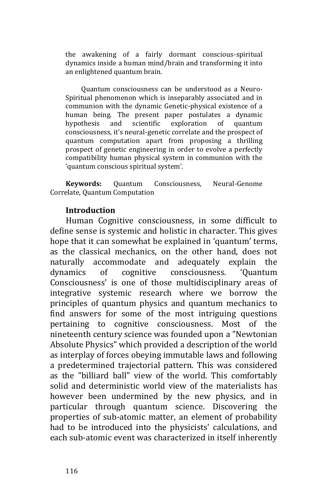the awakening of a fairly dormant conscious-spiritual dynamics inside a human mind/brain and transforming it into an enlightened quantum brain.

Quantum consciousness can be understood as a Neuro-Spiritual phenomenon which is inseparably associated and in communion with the dynamic Genetic-physical existence of a human being. The present paper postulates a dynamic hypothesis and scientific exploration of quantum consciousness, it's neural-genetic correlate and the prospect of quantum computation apart from proposing a thrilling prospect of genetic engineering in order to evolve a perfectly compatibility human physical system in communion with the 'quantum conscious spiritual system'.

**Keywords:** Quantum Consciousness, Neural-Genome Correlate, Quantum Computation

## **Introduction**

Human Cognitive consciousness, in some difficult to define sense is systemic and holistic in character. This gives hope that it can somewhat be explained in 'quantum' terms, as the classical mechanics, on the other hand, does not naturally accommodate and adequately explain the dynamics of cognitive consciousness. 'Quantum Consciousness' is one of those multidisciplinary areas of integrative systemic research where we borrow the principles of quantum physics and quantum mechanics to find answers for some of the most intriguing questions pertaining to cognitive consciousness. Most of the nineteenth century science was founded upon a "Newtonian Absolute Physics" which provided a description of the world as interplay of forces obeying immutable laws and following a predetermined trajectorial pattern. This was considered as the "billiard ball" view of the world. This comfortably solid and deterministic world view of the materialists has however been undermined by the new physics, and in particular through quantum science. Discovering the properties of sub-atomic matter, an element of probability had to be introduced into the physicists' calculations, and each sub-atomic event was characterized in itself inherently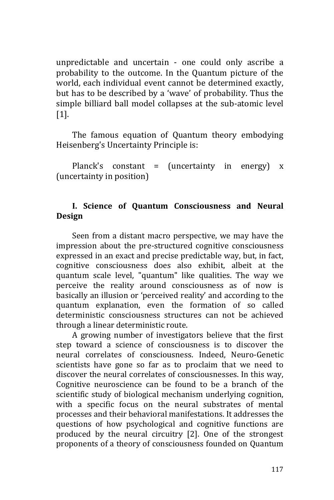unpredictable and uncertain - one could only ascribe a probability to the outcome. In the Quantum picture of the world, each individual event cannot be determined exactly, but has to be described by a 'wave' of probability. Thus the simple billiard ball model collapses at the sub-atomic level [1].

The famous equation of Quantum theory embodying Heisenberg's Uncertainty Principle is:

Planck's constant = (uncertainty in energy)  $x$ (uncertainty in position)

# **I. Science of Quantum Consciousness and Neural Design**

Seen from a distant macro perspective, we may have the impression about the pre-structured cognitive consciousness expressed in an exact and precise predictable way, but, in fact, cognitive consciousness does also exhibit, albeit at the quantum scale level, "quantum" like qualities. The way we perceive the reality around consciousness as of now is basically an illusion or 'perceived reality' and according to the quantum explanation, even the formation of so called deterministic consciousness structures can not be achieved through a linear deterministic route.

A growing number of investigators believe that the first step toward a science of consciousness is to discover the neural correlates of consciousness. Indeed, Neuro-Genetic scientists have gone so far as to proclaim that we need to discover the neural correlates of consciousnesses. In this way, Cognitive neuroscience can be found to be a branch of the scientific study of biological mechanism underlying cognition, with a specific focus on the neural substrates of mental processes and their behavioral manifestations. It addresses the questions of how psychological and cognitive functions are produced by the neural circuitry [2]. One of the strongest proponents of a theory of consciousness founded on Quantum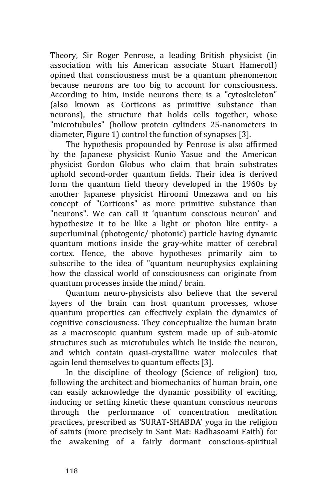Theory, Sir Roger Penrose, a leading British physicist (in association with his American associate Stuart Hameroff) opined that consciousness must be a quantum phenomenon because neurons are too big to account for consciousness. According to him, inside neurons there is a "cytoskeleton" (also known as Corticons as primitive substance than neurons), the structure that holds cells together, whose "microtubules" (hollow protein cylinders 25-nanometers in diameter, Figure 1) control the function of synapses [3].

The hypothesis propounded by Penrose is also affirmed by the Japanese physicist Kunio Yasue and the American physicist Gordon Globus who claim that brain substrates uphold second-order quantum fields. Their idea is derived form the quantum field theory developed in the 1960s by another Japanese physicist Hiroomi Umezawa and on his concept of "Corticons" as more primitive substance than "neurons". We can call it 'quantum conscious neuron' and hypothesize it to be like a light or photon like entity- a superluminal (photogenic/ photonic) particle having dynamic quantum motions inside the gray-white matter of cerebral cortex. Hence, the above hypotheses primarily aim to subscribe to the idea of "quantum neurophysics explaining how the classical world of consciousness can originate from quantum processes inside the mind/ brain.

Quantum neuro-physicists also believe that the several layers of the brain can host quantum processes, whose quantum properties can effectively explain the dynamics of cognitive consciousness. They conceptualize the human brain as a macroscopic quantum system made up of sub-atomic structures such as microtubules which lie inside the neuron, and which contain quasi-crystalline water molecules that again lend themselves to quantum effects [3].

In the discipline of theology (Science of religion) too, following the architect and biomechanics of human brain, one can easily acknowledge the dynamic possibility of exciting, inducing or setting kinetic these quantum conscious neurons through the performance of concentration meditation practices, prescribed as 'SURAT-SHABDA' yoga in the religion of saints (more precisely in Sant Mat: Radhasoami Faith) for the awakening of a fairly dormant conscious-spiritual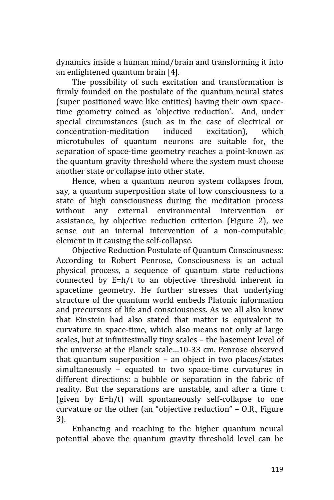dynamics inside a human mind/brain and transforming it into an enlightened quantum brain [4].

The possibility of such excitation and transformation is firmly founded on the postulate of the quantum neural states (super positioned wave like entities) having their own spacetime geometry coined as 'objective reduction'. And, under special circumstances (such as in the case of electrical or concentration-meditation induced excitation), which microtubules of quantum neurons are suitable for, the separation of space-time geometry reaches a point-known as the quantum gravity threshold where the system must choose another state or collapse into other state.

Hence, when a quantum neuron system collapses from, say, a quantum superposition state of low consciousness to a state of high consciousness during the meditation process without any external environmental intervention or assistance, by objective reduction criterion (Figure 2), we sense out an internal intervention of a non-computable element in it causing the self-collapse.

Objective Reduction Postulate of Quantum Consciousness: According to Robert Penrose, Consciousness is an actual physical process, a sequence of quantum state reductions connected by E=h/t to an objective threshold inherent in spacetime geometry. He further stresses that underlying structure of the quantum world embeds Platonic information and precursors of life and consciousness. As we all also know that Einstein had also stated that matter is equivalent to curvature in space-time, which also means not only at large scales, but at infinitesimally tiny scales – the basement level of the universe at the Planck scale…10-33 cm. Penrose observed that quantum superposition – an object in two places/states simultaneously – equated to two space-time curvatures in different directions: a bubble or separation in the fabric of reality. But the separations are unstable, and after a time t (given by E=h/t) will spontaneously self-collapse to one curvature or the other (an "objective reduction" – O.R., Figure 3).

Enhancing and reaching to the higher quantum neural potential above the quantum gravity threshold level can be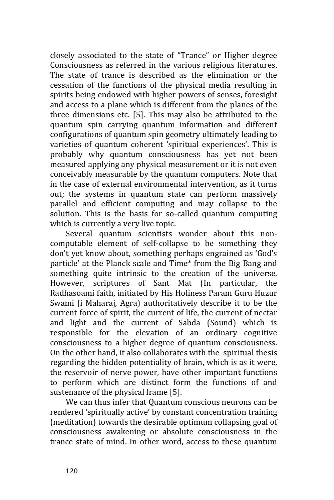closely associated to the state of "Trance" or Higher degree Consciousness as referred in the various religious literatures. The state of trance is described as the elimination or the cessation of the functions of the physical media resulting in spirits being endowed with higher powers of senses, foresight and access to a plane which is different from the planes of the three dimensions etc. [5]. This may also be attributed to the quantum spin carrying quantum information and different configurations of quantum spin geometry ultimately leading to varieties of quantum coherent 'spiritual experiences'. This is probably why quantum consciousness has yet not been measured applying any physical measurement or it is not even conceivably measurable by the quantum computers. Note that in the case of external environmental intervention, as it turns out; the systems in quantum state can perform massively parallel and efficient computing and may collapse to the solution. This is the basis for so-called quantum computing which is currently a very live topic.

Several quantum scientists wonder about this noncomputable element of self-collapse to be something they don't yet know about, something perhaps engrained as 'God's particle' at the Planck scale and Time\* from the Big Bang and something quite intrinsic to the creation of the universe. However, scriptures of Sant Mat (In particular, the Radhasoami faith, initiated by His Holiness Param Guru Huzur Swami Ji Maharaj, Agra) authoritatively describe it to be the current force of spirit, the current of life, the current of nectar and light and the current of Sabda (Sound) which is responsible for the elevation of an ordinary cognitive consciousness to a higher degree of quantum consciousness. On the other hand, it also collaborates with the spiritual thesis regarding the hidden potentiality of brain, which is as it were, the reservoir of nerve power, have other important functions to perform which are distinct form the functions of and sustenance of the physical frame [5].

We can thus infer that Quantum conscious neurons can be rendered 'spiritually active' by constant concentration training (meditation) towards the desirable optimum collapsing goal of consciousness awakening or absolute consciousness in the trance state of mind. In other word, access to these quantum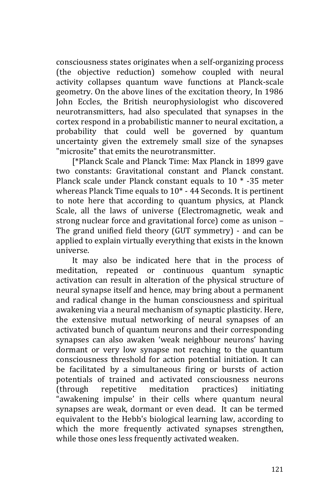consciousness states originates when a self-organizing process (the objective reduction) somehow coupled with neural activity collapses quantum wave functions at Planck-scale geometry. On the above lines of the excitation theory, In 1986 John Eccles, the British neurophysiologist who discovered neurotransmitters, had also speculated that synapses in the cortex respond in a probabilistic manner to neural excitation, a probability that could well be governed by quantum uncertainty given the extremely small size of the synapses "microsite" that emits the neurotransmitter.

[\*Planck Scale and Planck Time: Max Planck in 1899 gave two constants: Gravitational constant and Planck constant. Planck scale under Planck constant equals to  $10 * -35$  meter whereas Planck Time equals to 10\* - 44 Seconds. It is pertinent to note here that according to quantum physics, at Planck Scale, all the laws of universe (Electromagnetic, weak and strong nuclear force and gravitational force) come as unison – The grand unified field theory (GUT symmetry) - and can be applied to explain virtually everything that exists in the known universe.

It may also be indicated here that in the process of meditation, repeated or continuous quantum synaptic activation can result in alteration of the physical structure of neural synapse itself and hence, may bring about a permanent and radical change in the human consciousness and spiritual awakening via a neural mechanism of synaptic plasticity. Here, the extensive mutual networking of neural synapses of an activated bunch of quantum neurons and their corresponding synapses can also awaken 'weak neighbour neurons' having dormant or very low synapse not reaching to the quantum consciousness threshold for action potential initiation. It can be facilitated by a simultaneous firing or bursts of action potentials of trained and activated consciousness neurons (through repetitive meditation practices) initiating "awakening impulse' in their cells where quantum neural synapses are weak, dormant or even dead. It can be termed equivalent to the Hebb's biological learning law, according to which the more frequently activated synapses strengthen, while those ones less frequently activated weaken.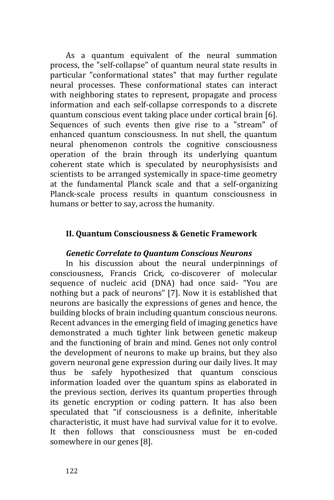As a quantum equivalent of the neural summation process, the "self-collapse" of quantum neural state results in particular "conformational states" that may further regulate neural processes. These conformational states can interact with neighboring states to represent, propagate and process information and each self-collapse corresponds to a discrete quantum conscious event taking place under cortical brain [6]. Sequences of such events then give rise to a "stream" of enhanced quantum consciousness. In nut shell, the quantum neural phenomenon controls the cognitive consciousness operation of the brain through its underlying quantum coherent state which is speculated by neurophysisists and scientists to be arranged systemically in space-time geometry at the fundamental Planck scale and that a self-organizing Planck-scale process results in quantum consciousness in humans or better to say, across the humanity.

#### **II. Quantum Consciousness & Genetic Framework**

#### *Genetic Correlate to Quantum Conscious Neurons*

In his discussion about the neural underpinnings of consciousness, Francis Crick, co-discoverer of molecular sequence of nucleic acid (DNA) had once said- "You are nothing but a pack of neurons" [7]. Now it is established that neurons are basically the expressions of genes and hence, the building blocks of brain including quantum conscious neurons. Recent advances in the emerging field of imaging genetics have demonstrated a much tighter link between genetic makeup and the functioning of brain and mind. Genes not only control the development of neurons to make up brains, but they also govern neuronal gene expression during our daily lives. It may thus be safely hypothesized that quantum conscious information loaded over the quantum spins as elaborated in the previous section, derives its quantum properties through its genetic encryption or coding pattern. It has also been speculated that "if consciousness is a definite, inheritable characteristic, it must have had survival value for it to evolve. It then follows that consciousness must be en-coded somewhere in our genes [8].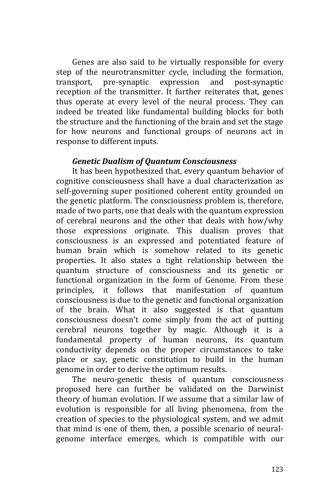Genes are also said to be virtually responsible for every step of the neurotransmitter cycle, including the formation, transport, pre-synaptic expression and post-synaptic reception of the transmitter. It further reiterates that, genes thus operate at every level of the neural process. They can indeed be treated like fundamental building blocks for both the structure and the functioning of the brain and set the stage for how neurons and functional groups of neurons act in response to different inputs.

#### *Genetic Dualism of Quantum Consciousness*

It has been hypothesized that, every quantum behavior of cognitive consciousness shall have a dual characterization as self-governing super positioned coherent entity grounded on the genetic platform. The consciousness problem is, therefore, made of two parts, one that deals with the quantum expression of cerebral neurons and the other that deals with how/why those expressions originate. This dualism proves that consciousness is an expressed and potentiated feature of human brain which is somehow related to its genetic properties. It also states a tight relationship between the quantum structure of consciousness and its genetic or functional organization in the form of Genome. From these principles, it follows that manifestation of quantum consciousness is due to the genetic and functional organization of the brain. What it also suggested is that quantum consciousness doesn't come simply from the act of putting cerebral neurons together by magic. Although it is a fundamental property of human neurons, its quantum conductivity depends on the proper circumstances to take place or say, genetic constitution to build in the human genome in order to derive the optimum results.

The neuro-genetic thesis of quantum consciousness proposed here can further be validated on the Darwinist theory of human evolution. If we assume that a similar law of evolution is responsible for all living phenomena, from the creation of species to the physiological system, and we admit that mind is one of them, then, a possible scenario of neuralgenome interface emerges, which is compatible with our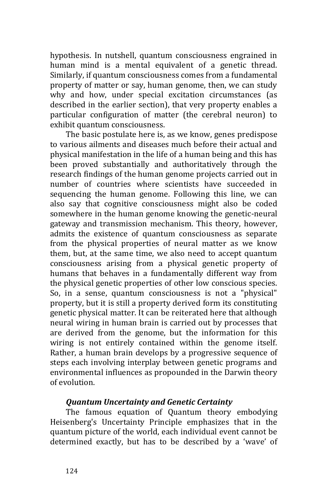hypothesis. In nutshell, quantum consciousness engrained in human mind is a mental equivalent of a genetic thread. Similarly, if quantum consciousness comes from a fundamental property of matter or say, human genome, then, we can study why and how, under special excitation circumstances (as described in the earlier section), that very property enables a particular configuration of matter (the cerebral neuron) to exhibit quantum consciousness.

The basic postulate here is, as we know, genes predispose to various ailments and diseases much before their actual and physical manifestation in the life of a human being and this has been proved substantially and authoritatively through the research findings of the human genome projects carried out in number of countries where scientists have succeeded in sequencing the human genome. Following this line, we can also say that cognitive consciousness might also be coded somewhere in the human genome knowing the genetic-neural gateway and transmission mechanism. This theory, however, admits the existence of quantum consciousness as separate from the physical properties of neural matter as we know them, but, at the same time, we also need to accept quantum consciousness arising from a physical genetic property of humans that behaves in a fundamentally different way from the physical genetic properties of other low conscious species. So, in a sense, quantum consciousness is not a "physical" property, but it is still a property derived form its constituting genetic physical matter. It can be reiterated here that although neural wiring in human brain is carried out by processes that are derived from the genome, but the information for this wiring is not entirely contained within the genome itself. Rather, a human brain develops by a progressive sequence of steps each involving interplay between genetic programs and environmental influences as propounded in the Darwin theory of evolution.

## *Quantum Uncertainty and Genetic Certainty*

The famous equation of Quantum theory embodying Heisenberg's Uncertainty Principle emphasizes that in the quantum picture of the world, each individual event cannot be determined exactly, but has to be described by a 'wave' of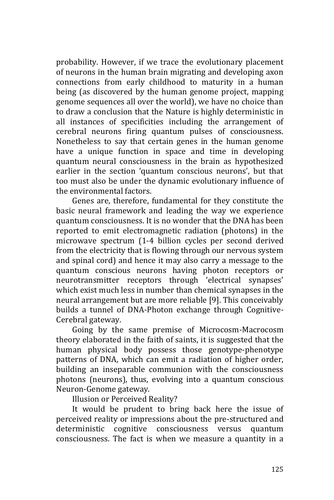probability. However, if we trace the evolutionary placement of neurons in the human brain migrating and developing axon connections from early childhood to maturity in a human being (as discovered by the human genome project, mapping genome sequences all over the world), we have no choice than to draw a conclusion that the Nature is highly deterministic in all instances of specificities including the arrangement of cerebral neurons firing quantum pulses of consciousness. Nonetheless to say that certain genes in the human genome have a unique function in space and time in developing quantum neural consciousness in the brain as hypothesized earlier in the section 'quantum conscious neurons', but that too must also be under the dynamic evolutionary influence of the environmental factors.

Genes are, therefore, fundamental for they constitute the basic neural framework and leading the way we experience quantum consciousness. It is no wonder that the DNA has been reported to emit electromagnetic radiation (photons) in the microwave spectrum (1-4 billion cycles per second derived from the electricity that is flowing through our nervous system and spinal cord) and hence it may also carry a message to the quantum conscious neurons having photon receptors or neurotransmitter receptors through 'electrical synapses' which exist much less in number than chemical synapses in the neural arrangement but are more reliable [9]. This conceivably builds a tunnel of DNA-Photon exchange through Cognitive-Cerebral gateway.

Going by the same premise of Microcosm-Macrocosm theory elaborated in the faith of saints, it is suggested that the human physical body possess those genotype-phenotype patterns of DNA, which can emit a radiation of higher order, building an inseparable communion with the consciousness photons (neurons), thus, evolving into a quantum conscious Neuron-Genome gateway.

Illusion or Perceived Reality?

It would be prudent to bring back here the issue of perceived reality or impressions about the pre-structured and deterministic cognitive consciousness versus quantum consciousness. The fact is when we measure a quantity in a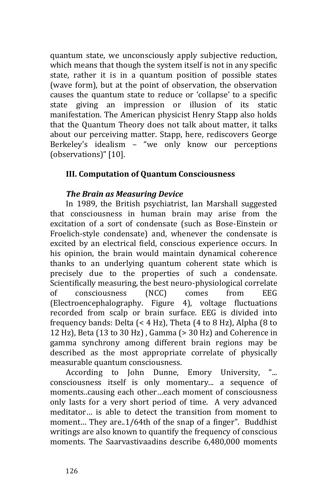quantum state, we unconsciously apply subjective reduction, which means that though the system itself is not in any specific state, rather it is in a quantum position of possible states (wave form), but at the point of observation, the observation causes the quantum state to reduce or 'collapse' to a specific state giving an impression or illusion of its static manifestation. The American physicist Henry Stapp also holds that the Quantum Theory does not talk about matter, it talks about our perceiving matter. Stapp, here, rediscovers George Berkeley's idealism – "we only know our perceptions (observations)" [10].

## **III. Computation of Quantum Consciousness**

## *The Brain as Measuring Device*

In 1989, the British psychiatrist, Ian Marshall suggested that consciousness in human brain may arise from the excitation of a sort of condensate (such as Bose-Einstein or Froelich-style condensate) and, whenever the condensate is excited by an electrical field, conscious experience occurs. In his opinion, the brain would maintain dynamical coherence thanks to an underlying quantum coherent state which is precisely due to the properties of such a condensate. Scientifically measuring, the best neuro-physiological correlate of consciousness (NCC) comes from EEG (Electroencephalography. Figure 4), voltage fluctuations recorded from scalp or brain surface. EEG is divided into frequency bands: Delta (< 4 Hz), Theta (4 to 8 Hz), Alpha (8 to 12 Hz), Beta  $(13 \text{ to } 30 \text{ Hz})$ , Gamma  $(> 30 \text{ Hz})$  and Coherence in gamma synchrony among different brain regions may be described as the most appropriate correlate of physically measurable quantum consciousness.

According to John Dunne, Emory University, consciousness itself is only momentary... a sequence of moments..causing each other…each moment of consciousness only lasts for a very short period of time. A very advanced meditator… is able to detect the transition from moment to moment… They are..1/64th of the snap of a finger". Buddhist writings are also known to quantify the frequency of conscious moments. The Saarvastivaadins describe 6,480,000 moments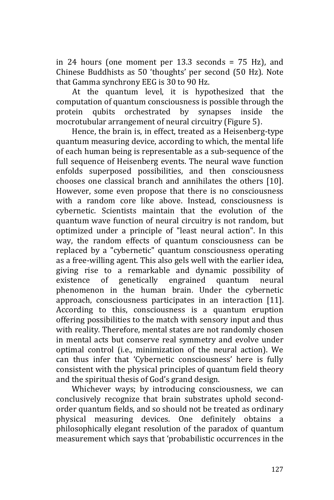in 24 hours (one moment per 13.3 seconds = 75 Hz), and Chinese Buddhists as 50 'thoughts' per second (50 Hz). Note that Gamma synchrony EEG is 30 to 90 Hz.

At the quantum level, it is hypothesized that the computation of quantum consciousness is possible through the protein qubits orchestrated by synapses inside the mocrotubular arrangement of neural circuitry (Figure 5).

Hence, the brain is, in effect, treated as a Heisenberg-type quantum measuring device, according to which, the mental life of each human being is representable as a sub-sequence of the full sequence of Heisenberg events. The neural wave function enfolds superposed possibilities, and then consciousness chooses one classical branch and annihilates the others [10]. However, some even propose that there is no consciousness with a random core like above. Instead, consciousness is cybernetic. Scientists maintain that the evolution of the quantum wave function of neural circuitry is not random, but optimized under a principle of "least neural action". In this way, the random effects of quantum consciousness can be replaced by a "cybernetic" quantum consciousness operating as a free-willing agent. This also gels well with the earlier idea, giving rise to a remarkable and dynamic possibility of existence of genetically engrained quantum neural phenomenon in the human brain. Under the cybernetic approach, consciousness participates in an interaction [11]. According to this, consciousness is a quantum eruption offering possibilities to the match with sensory input and thus with reality. Therefore, mental states are not randomly chosen in mental acts but conserve real symmetry and evolve under optimal control (i.e., minimization of the neural action). We can thus infer that 'Cybernetic consciousness' here is fully consistent with the physical principles of quantum field theory and the spiritual thesis of God's grand design.

Whichever ways; by introducing consciousness, we can conclusively recognize that brain substrates uphold secondorder quantum fields, and so should not be treated as ordinary physical measuring devices. One definitely obtains a philosophically elegant resolution of the paradox of quantum measurement which says that 'probabilistic occurrences in the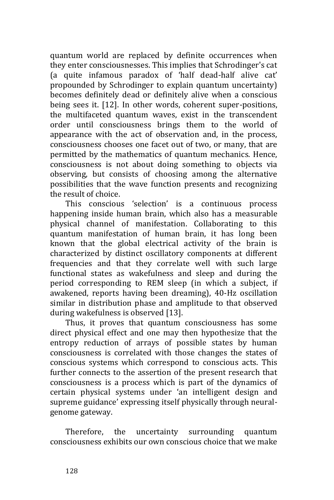quantum world are replaced by definite occurrences when they enter consciousnesses. This implies that Schrodinger's cat (a quite infamous paradox of 'half dead-half alive cat' propounded by Schrodinger to explain quantum uncertainty) becomes definitely dead or definitely alive when a conscious being sees it. [12]. In other words, coherent super-positions, the multifaceted quantum waves, exist in the transcendent order until consciousness brings them to the world of appearance with the act of observation and, in the process, consciousness chooses one facet out of two, or many, that are permitted by the mathematics of quantum mechanics. Hence, consciousness is not about doing something to objects via observing, but consists of choosing among the alternative possibilities that the wave function presents and recognizing the result of choice.

This conscious 'selection' is a continuous process happening inside human brain, which also has a measurable physical channel of manifestation. Collaborating to this quantum manifestation of human brain, it has long been known that the global electrical activity of the brain is characterized by distinct oscillatory components at different frequencies and that they correlate well with such large functional states as wakefulness and sleep and during the period corresponding to REM sleep (in which a subject, if awakened, reports having been dreaming), 40-Hz oscillation similar in distribution phase and amplitude to that observed during wakefulness is observed [13].

Thus, it proves that quantum consciousness has some direct physical effect and one may then hypothesize that the entropy reduction of arrays of possible states by human consciousness is correlated with those changes the states of conscious systems which correspond to conscious acts. This further connects to the assertion of the present research that consciousness is a process which is part of the dynamics of certain physical systems under 'an intelligent design and supreme guidance' expressing itself physically through neuralgenome gateway.

Therefore, the uncertainty surrounding quantum consciousness exhibits our own conscious choice that we make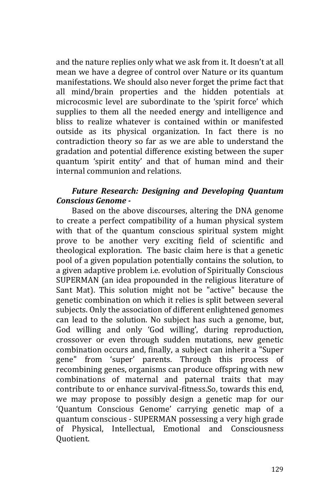and the nature replies only what we ask from it. It doesn't at all mean we have a degree of control over Nature or its quantum manifestations. We should also never forget the prime fact that all mind/brain properties and the hidden potentials at microcosmic level are subordinate to the 'spirit force' which supplies to them all the needed energy and intelligence and bliss to realize whatever is contained within or manifested outside as its physical organization. In fact there is no contradiction theory so far as we are able to understand the gradation and potential difference existing between the super quantum 'spirit entity' and that of human mind and their internal communion and relations.

## *Future Research: Designing and Developing Quantum Conscious Genome -*

Based on the above discourses, altering the DNA genome to create a perfect compatibility of a human physical system with that of the quantum conscious spiritual system might prove to be another very exciting field of scientific and theological exploration. The basic claim here is that a genetic pool of a given population potentially contains the solution, to a given adaptive problem i.e. evolution of Spiritually Conscious SUPERMAN (an idea propounded in the religious literature of Sant Mat). This solution might not be "active" because the genetic combination on which it relies is split between several subjects. Only the association of different enlightened genomes can lead to the solution. No subject has such a genome, but, God willing and only 'God willing', during reproduction, crossover or even through sudden mutations, new genetic combination occurs and, finally, a subject can inherit a "Super gene" from 'super' parents. Through this process of recombining genes, organisms can produce offspring with new combinations of maternal and paternal traits that may contribute to or enhance survival-fitness.So, towards this end, we may propose to possibly design a genetic map for our 'Quantum Conscious Genome' carrying genetic map of a quantum conscious - SUPERMAN possessing a very high grade of Physical, Intellectual, Emotional and Consciousness Quotient.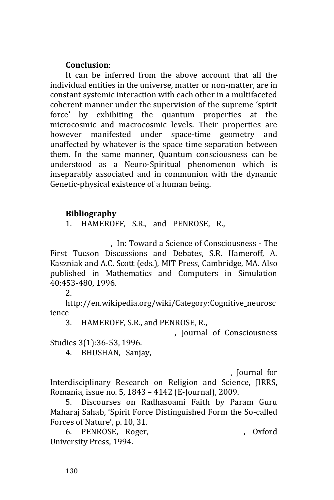## **Conclusion**:

It can be inferred from the above account that all the individual entities in the universe, matter or non-matter, are in constant systemic interaction with each other in a multifaceted coherent manner under the supervision of the supreme 'spirit force' by exhibiting the quantum properties at the microcosmic and macrocosmic levels. Their properties are however manifested under space-time geometry and unaffected by whatever is the space time separation between them. In the same manner, Quantum consciousness can be understood as a Neuro-Spiritual phenomenon which is inseparably associated and in communion with the dynamic Genetic-physical existence of a human being.

## **Bibliography**

1. HAMEROFF, S.R., and PENROSE, R.,

*for consciousness*, In: Toward a Science of Consciousness - The First Tucson Discussions and Debates, S.R. Hameroff, A. Kaszniak and A.C. Scott (eds.), MIT Press, Cambridge, MA. Also published in Mathematics and Computers in Simulation 40:453-480, 1996.

2.

http://en.wikipedia.org/wiki/Category:Cognitive\_neurosc ience

3. HAMEROFF, S.R., and PENROSE, R.,

*orchestrated spacetime selections*, Journal of Consciousness

Studies 3(1):36-53, 1996.

4. BHUSHAN, Sanjay,

*Artificial Neural Network and Genetic Algorithm*, Journal for

Interdisciplinary Research on Religion and Science, JIRRS, Romania, issue no. 5, 1843 – 4142 (E-Journal), 2009.

5. Discourses on Radhasoami Faith by Param Guru Maharaj Sahab, 'Spirit Force Distinguished Form the So-called Forces of Nature', p. 10, 31.

6. PENROSE, Roger, *Shadows of the mind*, Oxford University Press, 1994.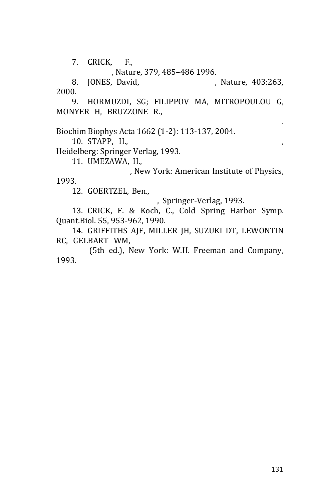7. CRICK, F., *Visual perception: Rivalry and* 

*consciousnesses*, Nature, 379, 485–486 1996.

8. JONES, David, *States of Non Mind*, Nature, 403:263, 2000.

9. HORMUZDI, SG; FILIPPOV MA, MITROPOULOU G, MONYER H, BRUZZONE R., *Electrical synapses: a dynamic* 

*signaling system that shapes the activity of neuronal networks*. Biochim Biophys Acta 1662 (1-2): 113-137, 2004.

10. STAPP, H., *Mind, Matter and Quantum Mechanics*,

Heidelberg: Springer Verlag, 1993.

11. UMEZAWA, H., *Advanced Field Theory: Micro, Macro,* 

*and Thermal Physics*, New York: American Institute of Physics, 1993.

12. GOERTZEL, Ben.,

*Mathematical Model of Mind*, Springer-Verlag, 1993.

13. CRICK, F. & Koch, C., Cold Spring Harbor Symp. Quant.Biol. 55, 953-962, 1990.

14. GRIFFITHS AJF, MILLER JH, SUZUKI DT, LEWONTIN RC, GELBART WM, *Chapter 5. An Introduction to Genetic* 

*Analysis* (5th ed.), New York: W.H. Freeman and Company, 1993.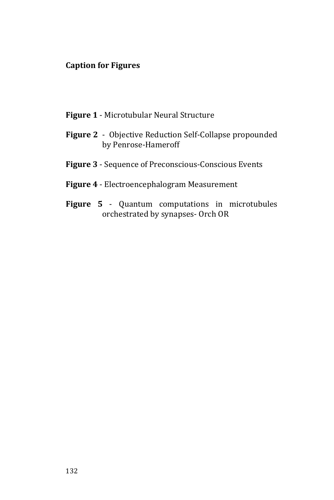## **Caption for Figures**

- **Figure 1** Microtubular Neural Structure
- **Figure 2** Objective Reduction Self-Collapse propounded by Penrose-Hameroff
- **Figure 3** Sequence of Preconscious-Conscious Events
- **Figure 4** Electroencephalogram Measurement
- **Figure 5** Quantum computations in microtubules orchestrated by synapses- Orch OR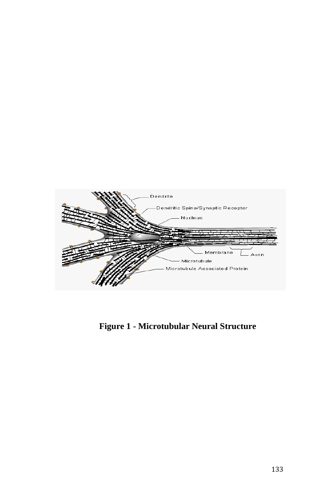

**Figure 1 - Microtubular Neural Structure**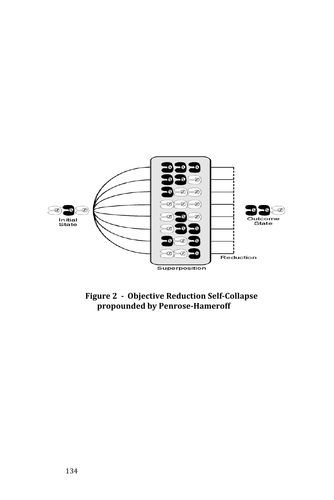

**Figure 2 - Objective Reduction Self-Collapse propounded by Penrose-Hameroff**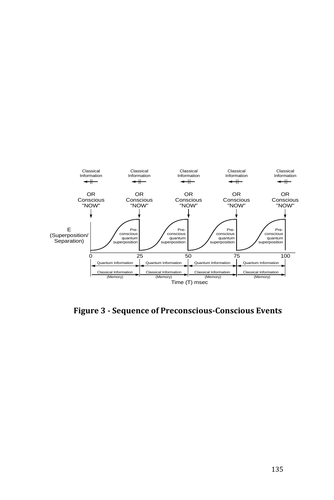

**Figure 3 - Sequence of Preconscious-Conscious Events**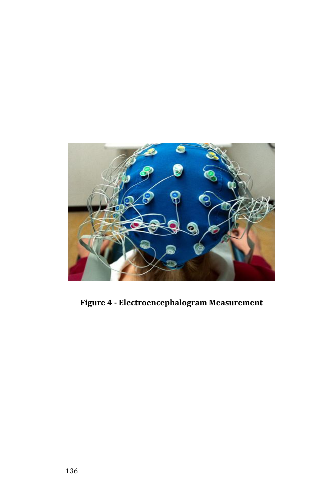

**Figure 4 - Electroencephalogram Measurement**